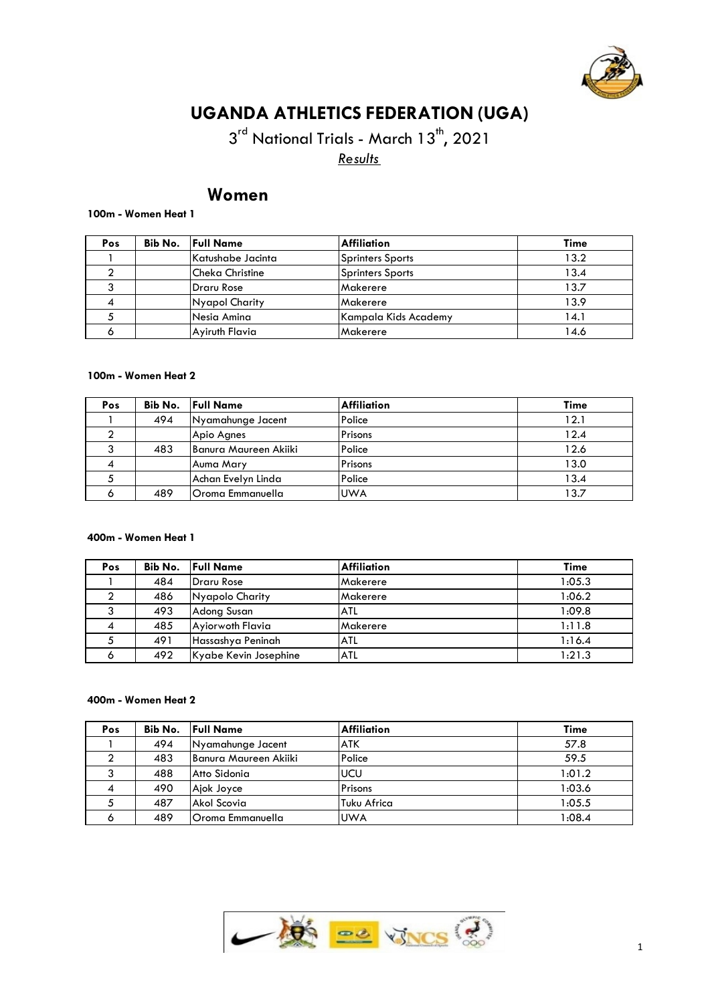

# **UGANDA ATHLETICS FEDERATION (UGA)**

3<sup>rd</sup> National Trials - March 13<sup>th</sup>, 2021 *Results*

# **Women**

#### **100m - Women Heat 1**

| Pos | Bib No. | <b>Full Name</b>       | Affiliation          | Time |
|-----|---------|------------------------|----------------------|------|
|     |         | Katushabe Jacinta      | Sprinters Sports     | 13.2 |
|     |         | <b>Cheka Christine</b> | Sprinters Sports     | 13.4 |
|     |         | <b>Draru Rose</b>      | Makerere             | 13.7 |
|     |         | Nyapol Charity         | Makerere             | 13.9 |
|     |         | Nesia Amina            | Kampala Kids Academy | 4.1  |
|     |         | Aviruth Flavia         | Makerere             | 14.6 |

## **100m - Women Heat 2**

| Pos | Bib No. | <b>Full Name</b>      | Affiliation | Time |
|-----|---------|-----------------------|-------------|------|
|     | 494     | Nyamahunge Jacent     | Police      | 12.1 |
|     |         | Apio Agnes            | Prisons     | 12.4 |
|     | 483     | Banura Maureen Akiiki | Police      | 12.6 |
|     |         | Auma Mary             | Prisons     | 13.0 |
|     |         | Achan Evelyn Linda    | Police      | 13.4 |
|     | 489     | Oroma Emmanuella      | <b>UWA</b>  | 13.7 |

#### **400m - Women Heat 1**

| Pos |     | <b>Bib No.</b> Full Name | <b>Affiliation</b> | <b>Time</b> |
|-----|-----|--------------------------|--------------------|-------------|
|     | 484 | Draru Rose               | Makerere           | 1:05.3      |
|     | 486 | Nyapolo Charity          | Makerere           | 1:06.2      |
|     | 493 | Adong Susan              | <b>ATL</b>         | 1:09.8      |
|     | 485 | Ayiorwoth Flavia         | Makerere           | 1:11.8      |
|     | 491 | Hassashya Peninah        | <b>ATL</b>         | 1:16.4      |
| O   | 492 | Kyabe Kevin Josephine    | ATL                | 1:21.3      |

#### **400m - Women Heat 2**

| Pos |     | <b>Bib No.</b> Full Name | Affiliation | Time   |
|-----|-----|--------------------------|-------------|--------|
|     | 494 | Nyamahunge Jacent        | <b>ATK</b>  | 57.8   |
|     | 483 | IBanura Maureen Akiiki   | Police      | 59.5   |
|     | 488 | Atto Sidonia             | lucu        | 1:01.2 |
|     | 490 | Ajok Joyce               | Prisons     | 1:03.6 |
|     | 487 | Akol Scovia              | Tuku Africa | 1:05.5 |
|     | 489 | lOroma Emmanuella        | <b>UWA</b>  | 1:08.4 |

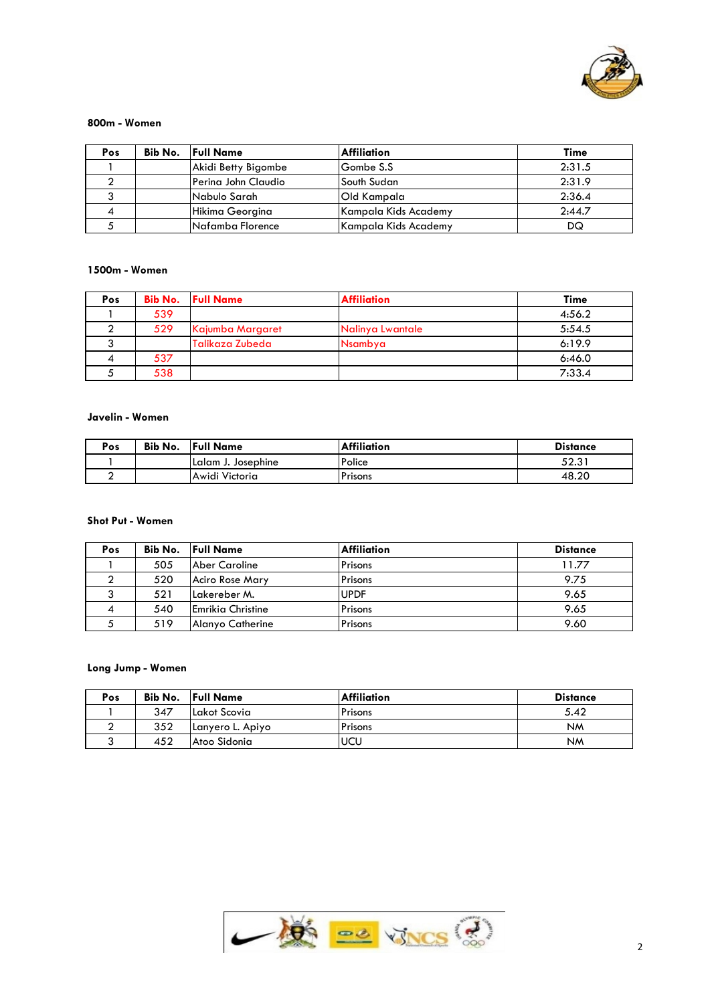

#### **800m - Women**

| Pos | Bib No. | <b>Full Name</b>     | <b>Affiliation</b>   | Time   |
|-----|---------|----------------------|----------------------|--------|
|     |         | Akidi Betty Bigombe  | Gombe S.S            | 2:31.5 |
|     |         | lPerina John Claudio | South Sudan          | 2:31.9 |
|     |         | Nabulo Sarah         | <b>Old Kampala</b>   | 2:36.4 |
|     |         | Hikima Georgina      | Kampala Kids Academy | 2:44.7 |
|     |         | Nafamba Florence     | Kampala Kids Academy | DQ     |

# **1500m - Women**

| Pos |     | <b>Bib No.</b> Full Name | <b>Affiliation</b> | <b>Time</b> |
|-----|-----|--------------------------|--------------------|-------------|
|     | 539 |                          |                    | 4:56.2      |
|     | 529 | Kajumba Margaret         | Nalinya Lwantale   | 5:54.5      |
|     |     | Talikaza Zubeda          | Nsambya            | 6:19.9      |
|     | 537 |                          |                    | 6:46.0      |
|     | 538 |                          |                    | 7:33.4      |

#### **Javelin - Women**

| Pos | Bib No. | <b>Full Name</b>   | <b>Affiliation</b> | <b>Distance</b> |
|-----|---------|--------------------|--------------------|-----------------|
|     |         | Lalam J. Josephine | Police             | ro o 1<br>ن⊾ت   |
|     |         | Awidi Victoria     | l Prisons          | 48.20           |

# **Shot Put - Women**

| Pos |     | <b>Bib No.</b> Full Name | <b>Affiliation</b> | <b>Distance</b> |
|-----|-----|--------------------------|--------------------|-----------------|
|     | 505 | Aber Caroline            | <b>Prisons</b>     | 11.77           |
|     | 520 | Aciro Rose Mary          | <b>Prisons</b>     | 9.75            |
|     | 521 | Lakereber M.             | <b>IUPDF</b>       | 9.65            |
|     | 540 | <b>Emrikia Christine</b> | Prisons            | 9.65            |
|     | 519 | Alanyo Catherine         | Prisons            | 9.60            |

# **Long Jump - Women**

| Pos | Bib No. | <b>Full Name</b>  | <b>Affiliation</b> | <b>Distance</b> |
|-----|---------|-------------------|--------------------|-----------------|
|     | 347     | Lakot Scovia      | Prisons            | 5.42            |
|     | 352     | ILanyero L. Apiyo | Prisons            | <b>NM</b>       |
| ×.  | 452     | Atoo Sidonia      | <b>IUCU</b>        | <b>NM</b>       |

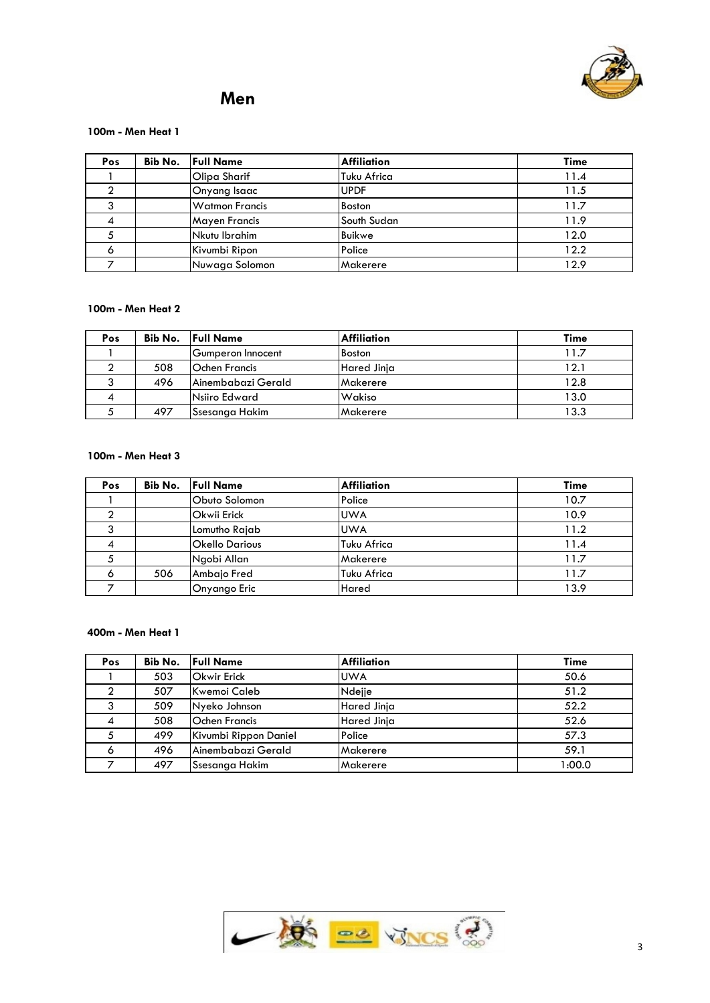

# **Men**

#### **100m - Men Heat 1**

| Pos | Bib No. | <b>Full Name</b>      | <b>Affiliation</b> | Time |
|-----|---------|-----------------------|--------------------|------|
|     |         | Olipa Sharif          | Tuku Africa        | 11.4 |
|     |         | Onyang Isaac          | <b>UPDF</b>        | 11.5 |
|     |         | <b>Watmon Francis</b> | Boston             | 11.7 |
|     |         | <b>Mayen Francis</b>  | lSouth Sudan       | 11.9 |
|     |         | Nkutu Ibrahim         | Buikwe             | 12.0 |
|     |         | Kivumbi Ripon         | Police             | 12.2 |
|     |         | Nuwaga Solomon        | <b>Makerere</b>    | 12.9 |

## **100m - Men Heat 2**

| Pos |     | <b>Bib No.</b> Full Name | Affiliation | Time |
|-----|-----|--------------------------|-------------|------|
|     |     | Gumperon Innocent        | Boston      | 1.7  |
|     | 508 | <b>Ochen Francis</b>     | Hared Jinja | 12.1 |
|     | 496 | lAinembabazi Gerald      | Makerere    | 12.8 |
|     |     | Nsiiro Edward            | Wakiso      | 13.0 |
|     | 497 | <b>Ssesanga Hakim</b>    | Makerere    | 13.3 |

# **100m - Men Heat 3**

| Pos | Bib No. | <b>Full Name</b>      | <b>Affiliation</b> | Time |
|-----|---------|-----------------------|--------------------|------|
|     |         | Obuto Solomon         | Police             | 10.7 |
|     |         | Okwii Erick           | <b>UWA</b>         | 10.9 |
|     |         | Lomutho Rajab         | <b>UWA</b>         | 11.2 |
|     |         | <b>Okello Darious</b> | <b>Tuku Africa</b> | 11.4 |
|     |         | Ngobi Allan           | Makerere           | 11.7 |
| Ô   | 506     | Ambajo Fred           | Tuku Africa        | 11.7 |
|     |         | Onyango Eric          | Hared              | 13.9 |

## **400m - Men Heat 1**

| Pos |     | <b>Bib No.</b> Full Name | <b>Affiliation</b> | <b>Time</b> |
|-----|-----|--------------------------|--------------------|-------------|
|     | 503 | <b>Okwir Erick</b>       | <b>UWA</b>         | 50.6        |
|     | 507 | Kwemoi Caleb             | Ndejje             | 51.2        |
|     | 509 | Nyeko Johnson            | Hared Jinja        | 52.2        |
| 4   | 508 | <b>Ochen Francis</b>     | Hared Jinja        | 52.6        |
|     | 499 | Kivumbi Rippon Daniel    | Police             | 57.3        |
| Ô   | 496 | Ainembabazi Gerald       | Makerere           | 59.1        |
|     | 497 | Ssesanga Hakim           | Makerere           | 1:00.0      |

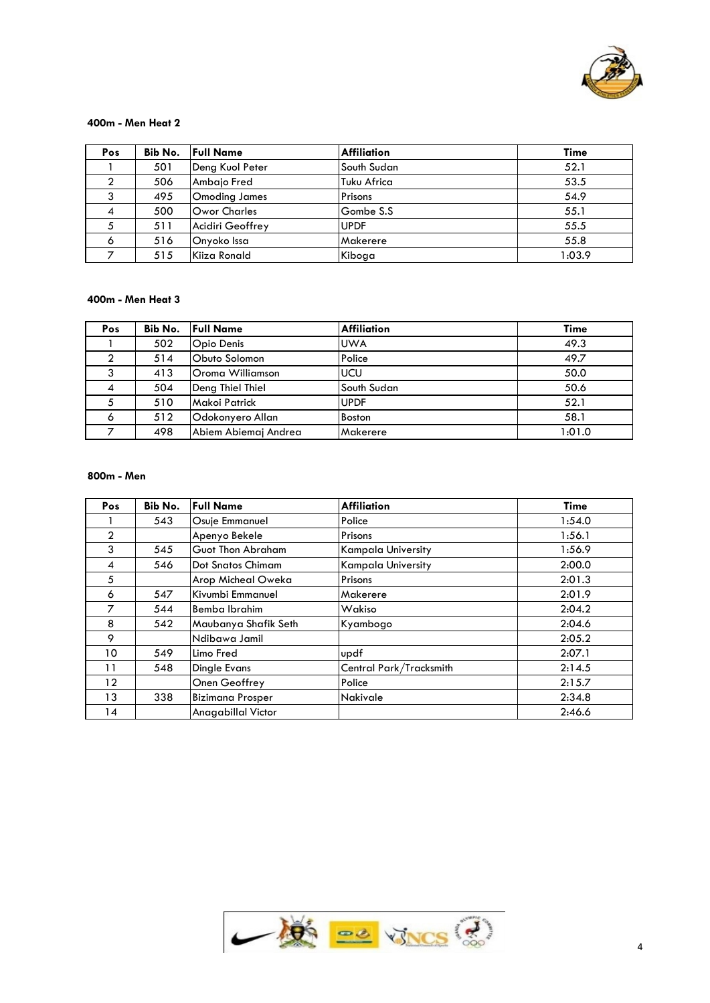

#### **400m - Men Heat 2**

| Pos |     | <b>Bib No.</b> Full Name | <b>Affiliation</b> | <b>Time</b> |
|-----|-----|--------------------------|--------------------|-------------|
|     | 501 | Deng Kuol Peter          | South Sudan        | 52.1        |
|     | 506 | Ambaio Fred              | Tuku Africa        | 53.5        |
|     | 495 | <b>Omoding James</b>     | Prisons            | 54.9        |
| 4   | 500 | <b>Owor Charles</b>      | Gombe S.S          | 55.1        |
|     | 511 | Acidiri Geoffrey         | <b>UPDF</b>        | 55.5        |
| 6   | 516 | Onyoko Issa              | Makerere           | 55.8        |
|     | 515 | Kiiza Ronald             | Kiboga             | 1:03.9      |

# **400m - Men Heat 3**

| Pos | Bib No. | <b>Full Name</b>     | <b>Affiliation</b> | <b>Time</b> |
|-----|---------|----------------------|--------------------|-------------|
|     | 502     | <b>Opio Denis</b>    | <b>UWA</b>         | 49.3        |
|     | 514     | Obuto Solomon        | Police             | 49.7        |
|     | 413     | Oroma Williamson     | <b>UCU</b>         | 50.0        |
| 4   | 504     | Deng Thiel Thiel     | South Sudan        | 50.6        |
|     | 510     | Makoi Patrick        | <b>UPDF</b>        | 52.1        |
| O   | 512     | Odokonyero Allan     | <b>Boston</b>      | 58.1        |
|     | 498     | Abiem Abiemaj Andrea | Makerere           | 1:01.0      |

#### **800m - Men**

| <b>Pos</b>     | Bib No. | <b>Full Name</b>         | <b>Affiliation</b>        | <b>Time</b> |
|----------------|---------|--------------------------|---------------------------|-------------|
|                | 543     | Osuje Emmanuel           | Police                    | 1:54.0      |
| $\mathfrak{D}$ |         | Apenyo Bekele            | Prisons                   | 1:56.1      |
| 3              | 545     | <b>Guot Thon Abraham</b> | Kampala University        | 1:56.9      |
| 4              | 546     | Dot Snatos Chimam        | <b>Kampala University</b> | 2:00.0      |
| 5              |         | Arop Micheal Oweka       | Prisons                   | 2:01.3      |
| 6              | 547     | Kivumbi Emmanuel         | Makerere                  | 2:01.9      |
| 7              | 544     | Bemba Ibrahim            | Wakiso                    | 2:04.2      |
| 8              | 542     | Maubanya Shafik Seth     | Kyambogo                  | 2:04.6      |
| 9              |         | Ndibawa Jamil            |                           | 2:05.2      |
| 10             | 549     | Limo Fred                | updf                      | 2:07.1      |
| 11             | 548     | Dingle Evans             | Central Park/Tracksmith   | 2:14.5      |
| 12             |         | Onen Geoffrey            | Police                    | 2:15.7      |
| 13             | 338     | <b>Bizimana Prosper</b>  | <b>Nakivale</b>           | 2:34.8      |
| 14             |         | Anagabillal Victor       |                           | 2:46.6      |

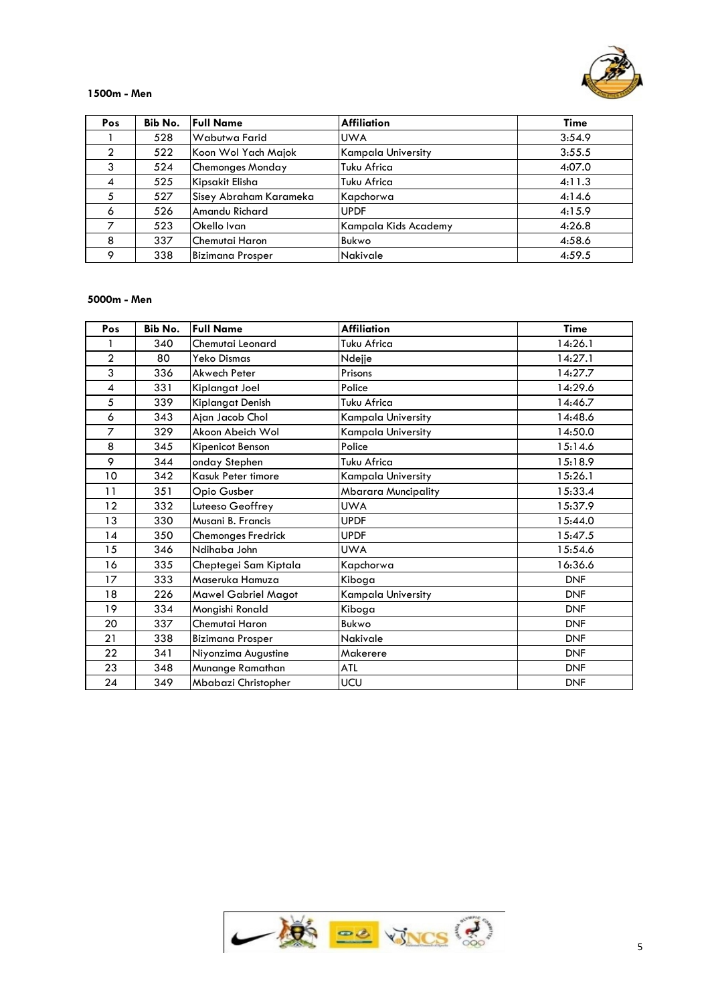

#### **1500m - Men**

| Pos           | Bib No. | <b>Full Name</b>        | <b>Affiliation</b>   | <b>Time</b> |
|---------------|---------|-------------------------|----------------------|-------------|
|               | 528     | Wabutwa Farid           | <b>UWA</b>           | 3:54.9      |
| $\mathcal{P}$ | 522     | Koon Wol Yach Majok     | Kampala University   | 3:55.5      |
| 3             | 524     | Chemonges Monday        | Tuku Africa          | 4:07.0      |
| 4             | 525     | Kipsakit Elisha         | Tuku Africa          | 4:11.3      |
| 5             | 527     | Sisey Abraham Karameka  | Kapchorwa            | 4:14.6      |
| 6             | 526     | Amandu Richard          | <b>UPDF</b>          | 4:15.9      |
|               | 523     | Okello Ivan             | Kampala Kids Academy | 4:26.8      |
| 8             | 337     | lChemutai Haron         | Bukwo                | 4:58.6      |
| Ω             | 338     | <b>Bizimana Prosper</b> | <b>Nakivale</b>      | 4:59.5      |

# **5000m - Men**

| Pos            | Bib No. | <b>Full Name</b>        | <b>Affiliation</b>         | <b>Time</b> |
|----------------|---------|-------------------------|----------------------------|-------------|
|                | 340     | Chemutai Leonard        | Tuku Africa                | 14:26.1     |
| $\overline{2}$ | 80      | Yeko Dismas             | Ndejje                     | 14:27.1     |
| 3              | 336     | Akwech Peter            | Prisons                    | 14:27.7     |
| 4              | 331     | Kiplangat Joel          | Police                     | 14:29.6     |
| 5              | 339     | Kiplangat Denish        | Tuku Africa                | 14:46.7     |
| 6              | 343     | Ajan Jacob Chol         | <b>Kampala University</b>  | 14:48.6     |
| $\overline{7}$ | 329     | Akoon Abeich Wol        | <b>Kampala University</b>  | 14:50.0     |
| 8              | 345     | Kipenicot Benson        | Police                     | 15:14.6     |
| 9              | 344     | onday Stephen           | Tuku Africa                | 15:18.9     |
| 10             | 342     | Kasuk Peter timore      | Kampala University         | 15:26.1     |
| 11             | 351     | Opio Gusber             | <b>Mbarara Muncipality</b> | 15:33.4     |
| 12             | 332     | Luteeso Geoffrey        | <b>UWA</b>                 | 15:37.9     |
| 13             | 330     | Musani B. Francis       | <b>UPDF</b>                | 15:44.0     |
| 14             | 350     | Chemonges Fredrick      | <b>UPDF</b>                | 15:47.5     |
| 15             | 346     | Ndihaba John            | <b>UWA</b>                 | 15:54.6     |
| 16             | 335     | Cheptegei Sam Kiptala   | Kapchorwa                  | 16:36.6     |
| 17             | 333     | Maseruka Hamuza         | Kiboga                     | <b>DNF</b>  |
| 18             | 226     | Mawel Gabriel Magot     | Kampala University         | <b>DNF</b>  |
| 19             | 334     | Mongishi Ronald         | Kiboga                     | <b>DNF</b>  |
| 20             | 337     | Chemutai Haron          | Bukwo                      | <b>DNF</b>  |
| 21             | 338     | <b>Bizimana Prosper</b> | <b>Nakivale</b>            | <b>DNF</b>  |
| 22             | 341     | Niyonzima Augustine     | Makerere                   | <b>DNF</b>  |
| 23             | 348     | Munange Ramathan        | ATL                        | <b>DNF</b>  |
| 24             | 349     | Mbabazi Christopher     | UCU                        | <b>DNF</b>  |